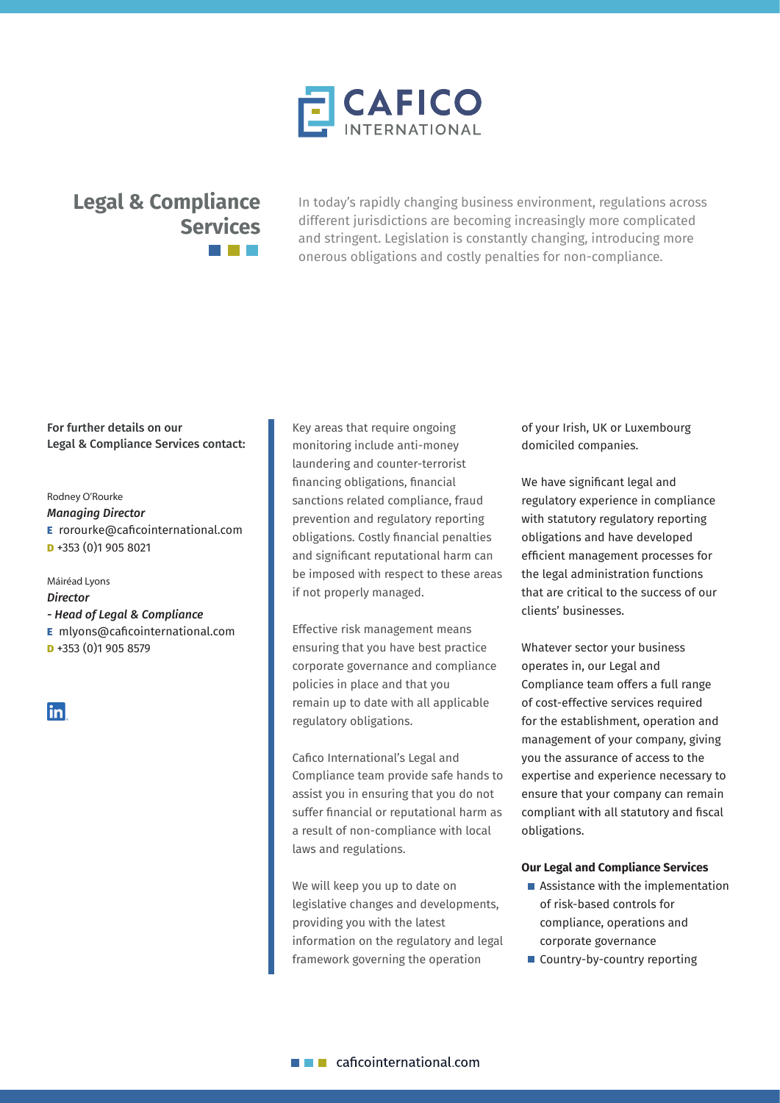

# **Legal & Compliance Services**

In today's rapidly changing business environment, regulations across different jurisdictions are becoming increasingly more complicated and stringent. Legislation is constantly changing, introducing more onerous obligations and costly penalties for non-compliance.

### For further details on our Legal & Compliance Services contact:

## Rodney O'Rourke

*Managing Director* E rorourke@caficointernational.com

**D** +353 (0)1 905 8021

## Máiréad Lyons

*Director* 

- *Head of Legal & Compliance*
- E mlyons@caficointernational.com
- **D** +353 (0)1 905 8579

## in

Key areas that require ongoing monitoring include anti-money laundering and counter-terrorist financing obligations, financial sanctions related compliance, fraud prevention and regulatory reporting obligations. Costly financial penalties and significant reputational harm can be imposed with respect to these areas if not properly managed.

Effective risk management means ensuring that you have best practice corporate governance and compliance policies in place and that you remain up to date with all applicable regulatory obligations.

Cafico International's Legal and Compliance team provide safe hands to assist you in ensuring that you do not suffer financial or reputational harm as a result of non-compliance with local laws and regulations.

We will keep you up to date on legislative changes and developments, providing you with the latest information on the regulatory and legal framework governing the operation

of your Irish, UK or Luxembourg domiciled companies.

We have significant legal and regulatory experience in compliance with statutory regulatory reporting obligations and have developed efficient management processes for the legal administration functions that are critical to the success of our clients' businesses.

Whatever sector your business operates in, our Legal and Compliance team offers a full range of cost-effective services required for the establishment, operation and management of your company, giving you the assurance of access to the expertise and experience necessary to ensure that your company can remain compliant with all statutory and fiscal obligations.

#### **Our Legal and Compliance Services**

- Assistance with the implementation of risk-based controls for compliance, operations and corporate governance
- Country-by-country reporting